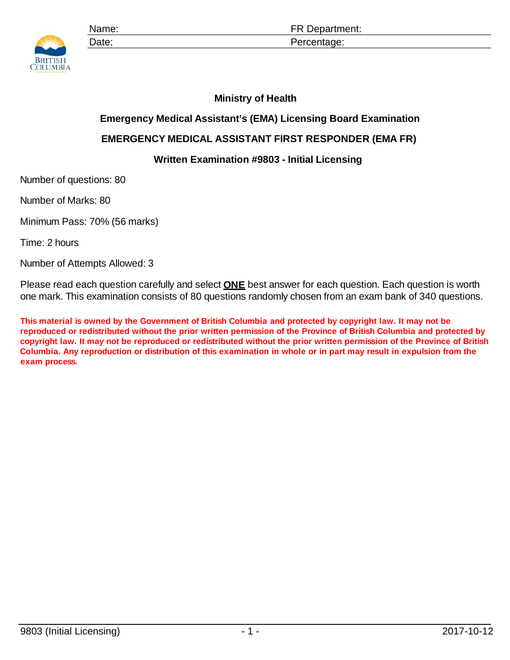

Name: **Name: ER Department:** Date: Percentage:

## **Ministry of Health**

## **Emergency Medical Assistant's (EMA) Licensing Board Examination**

## **EMERGENCY MEDICAL ASSISTANT FIRST RESPONDER (EMA FR)**

## **Written Examination #9803 - Initial Licensing**

Number of questions: 80

Number of Marks: 80

Minimum Pass: 70% (56 marks)

Time: 2 hours

Number of Attempts Allowed: 3

Please read each question carefully and select **ONE** best answer for each question. Each question is worth one mark. This examination consists of 80 questions randomly chosen from an exam bank of 340 questions.

**This material is owned by the Government of British Columbia and protected by copyright law. It may not be reproduced or redistributed without the prior written permission of the Province of British Columbia and protected by copyright law. It may not be reproduced or redistributed without the prior written permission of the Province of British Columbia. Any reproduction or distribution of this examination in whole or in part may result in expulsion from the exam process.**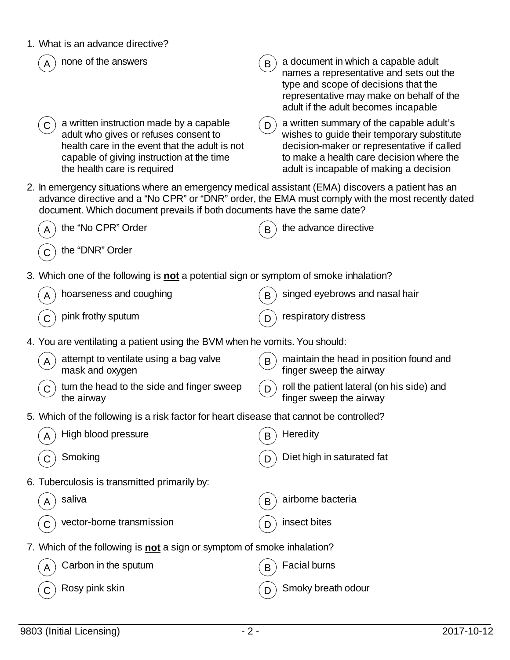| 1. What is an advance directive?                                                                                                                                                                                                                                                 |   |                                                                                                                                                                                                                             |
|----------------------------------------------------------------------------------------------------------------------------------------------------------------------------------------------------------------------------------------------------------------------------------|---|-----------------------------------------------------------------------------------------------------------------------------------------------------------------------------------------------------------------------------|
| none of the answers                                                                                                                                                                                                                                                              | B | a document in which a capable adult<br>names a representative and sets out the<br>type and scope of decisions that the<br>representative may make on behalf of the<br>adult if the adult becomes incapable                  |
| a written instruction made by a capable<br>adult who gives or refuses consent to<br>health care in the event that the adult is not<br>capable of giving instruction at the time<br>the health care is required                                                                   | D | a written summary of the capable adult's<br>wishes to guide their temporary substitute<br>decision-maker or representative if called<br>to make a health care decision where the<br>adult is incapable of making a decision |
| 2. In emergency situations where an emergency medical assistant (EMA) discovers a patient has an<br>advance directive and a "No CPR" or "DNR" order, the EMA must comply with the most recently dated<br>document. Which document prevails if both documents have the same date? |   |                                                                                                                                                                                                                             |
| the "No CPR" Order                                                                                                                                                                                                                                                               |   | the advance directive                                                                                                                                                                                                       |
| the "DNR" Order                                                                                                                                                                                                                                                                  |   |                                                                                                                                                                                                                             |
| 3. Which one of the following is <b>not</b> a potential sign or symptom of smoke inhalation?                                                                                                                                                                                     |   |                                                                                                                                                                                                                             |
| hoarseness and coughing                                                                                                                                                                                                                                                          | B | singed eyebrows and nasal hair                                                                                                                                                                                              |
| pink frothy sputum                                                                                                                                                                                                                                                               |   | respiratory distress                                                                                                                                                                                                        |
| 4. You are ventilating a patient using the BVM when he vomits. You should:                                                                                                                                                                                                       |   |                                                                                                                                                                                                                             |
| attempt to ventilate using a bag valve<br>mask and oxygen                                                                                                                                                                                                                        | B | maintain the head in position found and<br>finger sweep the airway                                                                                                                                                          |
| turn the head to the side and finger sweep<br>the airway                                                                                                                                                                                                                         | D | roll the patient lateral (on his side) and<br>finger sweep the airway                                                                                                                                                       |
| 5. Which of the following is a risk factor for heart disease that cannot be controlled?                                                                                                                                                                                          |   |                                                                                                                                                                                                                             |
| High blood pressure                                                                                                                                                                                                                                                              | B | Heredity                                                                                                                                                                                                                    |
| Smoking                                                                                                                                                                                                                                                                          | D | Diet high in saturated fat                                                                                                                                                                                                  |
| 6. Tuberculosis is transmitted primarily by:                                                                                                                                                                                                                                     |   |                                                                                                                                                                                                                             |
| saliva                                                                                                                                                                                                                                                                           | B | airborne bacteria                                                                                                                                                                                                           |
| vector-borne transmission                                                                                                                                                                                                                                                        | D | insect bites                                                                                                                                                                                                                |
| 7. Which of the following is not a sign or symptom of smoke inhalation?                                                                                                                                                                                                          |   |                                                                                                                                                                                                                             |
| Carbon in the sputum                                                                                                                                                                                                                                                             | B | Facial burns                                                                                                                                                                                                                |
| Rosy pink skin                                                                                                                                                                                                                                                                   | D | Smoky breath odour                                                                                                                                                                                                          |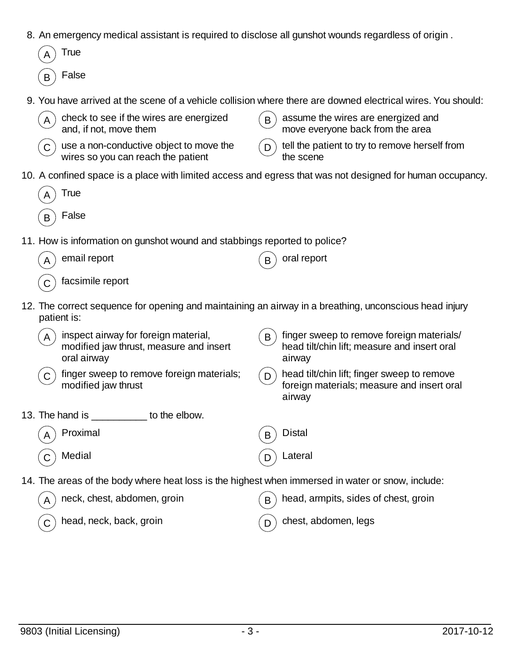- 8. An emergency medical assistant is required to disclose all gunshot wounds regardless of origin .
- **True**  $B$ ) False 9. You have arrived at the scene of a vehicle collision where there are downed electrical wires. You should: check to see if the wires are energized and, if not, move them  $B$  assume the wires are energized and move everyone back from the area  $C$ ) use a non-conductive object to move the wires so you can reach the patient  $D$ ) tell the patient to try to remove herself from the scene 10. A confined space is a place with limited access and egress that was not designed for human occupancy. **True False** 11. How is information on gunshot wound and stabbings reported to police? email report  $(B)$  oral report facsimile report 12. The correct sequence for opening and maintaining an airway in a breathing, unconscious head injury patient is: inspect airway for foreign material, modified jaw thrust, measure and insert oral airway  $\mathbf{B}$ ) finger sweep to remove foreign materials/ head tilt/chin lift; measure and insert oral airway  $(C)$  finger sweep to remove foreign materials; modified jaw thrust  $_D$ ) head tilt/chin lift; finger sweep to remove foreign materials; measure and insert oral airway 13. The hand is \_\_\_\_\_\_\_\_\_\_ to the elbow.  $\mathsf A$   $\big)$  Proximal  $\qquad \qquad \qquad \textbf{(B)}$  Distal  $\, {\sf C} \, ) \,$  Medial  $\, \phantom{\hskip2cm}$  D  $\,$  D  $\,$  Lateral 14. The areas of the body where heat loss is the highest when immersed in water or snow, include: neck, chest, abdomen, groin  $(B)$  head, armpits, sides of chest, groin head, neck, back, groin  $(D)$  chest, abdomen, legs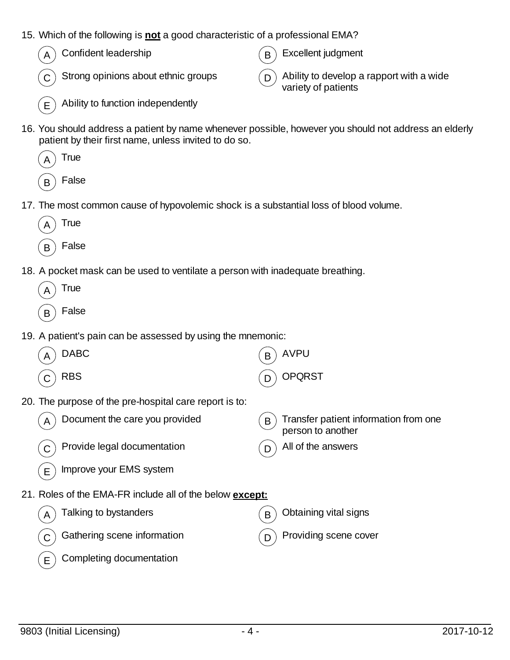- 15. Which of the following is **not** a good characteristic of a professional EMA?
	- $(A)$  Confident leadership  $(B)$  Excellent judgment

C Strong opinions about ethnic groups  $\overline{D}$  Ability to develop a rapport with a wide variety of patients

- $(E)$  Ability to function independently
- 16. You should address a patient by name whenever possible, however you should not address an elderly patient by their first name, unless invited to do so.



- 17. The most common cause of hypovolemic shock is a substantial loss of blood volume.
	- **True**
	- $\mathsf{B}$  False
- 18. A pocket mask can be used to ventilate a person with inadequate breathing.
	- $_A$ ) True
	- $_B$  False
- 19. A patient's pain can be assessed by using the mnemonic:

| <b>DABC</b>                                                     | <b>AVPU</b><br>B                                                |
|-----------------------------------------------------------------|-----------------------------------------------------------------|
| <b>RBS</b>                                                      | <b>OPQRST</b><br>Ð                                              |
| 20. The purpose of the pre-hospital care report is to:          |                                                                 |
| Document the care you provided<br>A                             | Transfer patient information from one<br>B<br>person to another |
| Provide legal documentation                                     | All of the answers                                              |
| Improve your EMS system<br>Е                                    |                                                                 |
| 21. Roles of the EMA-FR include all of the below <b>except:</b> |                                                                 |
| Talking to bystanders<br>A                                      | Obtaining vital signs<br>B                                      |
| Gathering scene information                                     | Providing scene cover<br>Ð                                      |
| Completing documentation<br>Е                                   |                                                                 |
|                                                                 |                                                                 |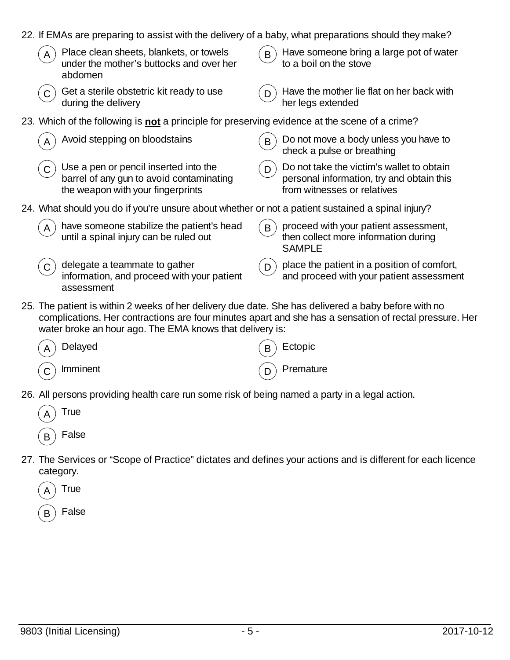| 22. If EMAs are preparing to assist with the delivery of a baby, what preparations should they make?                                                            |                                                                                                                            |
|-----------------------------------------------------------------------------------------------------------------------------------------------------------------|----------------------------------------------------------------------------------------------------------------------------|
| Place clean sheets, blankets, or towels<br>under the mother's buttocks and over her<br>abdomen                                                                  | Have someone bring a large pot of water<br>B<br>to a boil on the stove                                                     |
| Get a sterile obstetric kit ready to use<br>during the delivery                                                                                                 | Have the mother lie flat on her back with<br>D<br>her legs extended                                                        |
| 23. Which of the following is not a principle for preserving evidence at the scene of a crime?                                                                  |                                                                                                                            |
| Avoid stepping on bloodstains                                                                                                                                   | Do not move a body unless you have to<br>B<br>check a pulse or breathing                                                   |
| Use a pen or pencil inserted into the<br>barrel of any gun to avoid contaminating<br>the weapon with your fingerprints                                          | Do not take the victim's wallet to obtain<br>D<br>personal information, try and obtain this<br>from witnesses or relatives |
| 24. What should you do if you're unsure about whether or not a patient sustained a spinal injury?                                                               |                                                                                                                            |
| have someone stabilize the patient's head<br>until a spinal injury can be ruled out                                                                             | proceed with your patient assessment,<br>B<br>then collect more information during<br><b>SAMPLE</b>                        |
| delegate a teammate to gather<br>information, and proceed with your patient<br>assessment                                                                       | place the patient in a position of comfort,<br>D<br>and proceed with your patient assessment                               |
| 25. The patient is within 2 weeks of her delivery due date. She has delivered a baby before with no<br>water broke an hour ago. The EMA knows that delivery is: | complications. Her contractions are four minutes apart and she has a sensation of rectal pressure. Her                     |
| Delayed                                                                                                                                                         | Ectopic                                                                                                                    |
| Imminent<br>$\mathsf{C}$                                                                                                                                        | Premature<br>D                                                                                                             |

26. All persons providing health care run some risk of being named a party in a legal action.



27. The Services or "Scope of Practice" dictates and defines your actions and is different for each licence category.

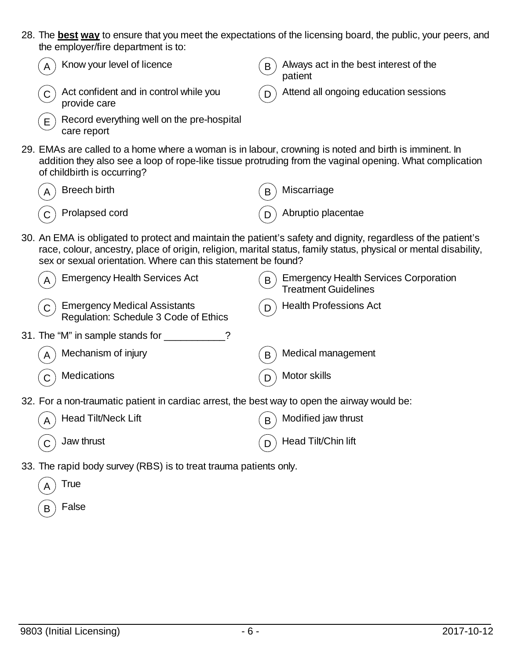28. The **best way** to ensure that you meet the expectations of the licensing board, the public, your peers, and the employer/fire department is to:



33. The rapid body survey (RBS) is to treat trauma patients only.

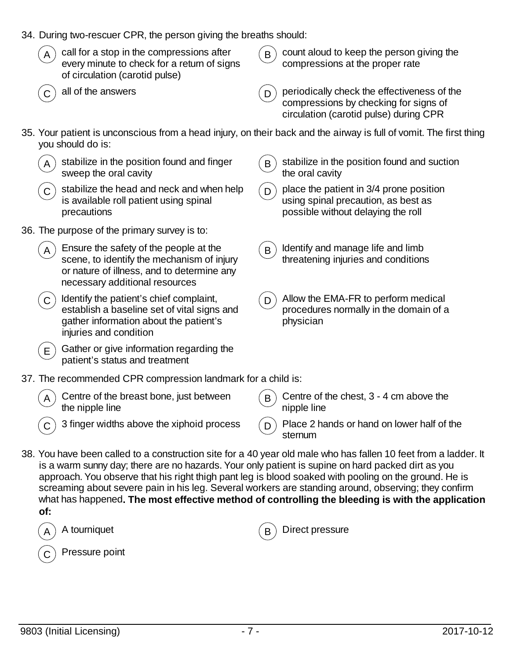| 34. During two-rescuer CPR, the person giving the breaths should:                                                                                                                                                                                                                                                                                                                                                                                                                                                                                |                                                                                                                                     |  |  |
|--------------------------------------------------------------------------------------------------------------------------------------------------------------------------------------------------------------------------------------------------------------------------------------------------------------------------------------------------------------------------------------------------------------------------------------------------------------------------------------------------------------------------------------------------|-------------------------------------------------------------------------------------------------------------------------------------|--|--|
| call for a stop in the compressions after<br>A<br>every minute to check for a return of signs<br>of circulation (carotid pulse)                                                                                                                                                                                                                                                                                                                                                                                                                  | count aloud to keep the person giving the<br>$\mathsf B$<br>compressions at the proper rate                                         |  |  |
| all of the answers                                                                                                                                                                                                                                                                                                                                                                                                                                                                                                                               | periodically check the effectiveness of the<br>D<br>compressions by checking for signs of<br>circulation (carotid pulse) during CPR |  |  |
| you should do is:                                                                                                                                                                                                                                                                                                                                                                                                                                                                                                                                | 35. Your patient is unconscious from a head injury, on their back and the airway is full of vomit. The first thing                  |  |  |
| stabilize in the position found and finger<br>sweep the oral cavity                                                                                                                                                                                                                                                                                                                                                                                                                                                                              | stabilize in the position found and suction<br>B<br>the oral cavity                                                                 |  |  |
| stabilize the head and neck and when help<br>C<br>is available roll patient using spinal<br>precautions                                                                                                                                                                                                                                                                                                                                                                                                                                          | place the patient in 3/4 prone position<br>D<br>using spinal precaution, as best as<br>possible without delaying the roll           |  |  |
| 36. The purpose of the primary survey is to:                                                                                                                                                                                                                                                                                                                                                                                                                                                                                                     |                                                                                                                                     |  |  |
| Ensure the safety of the people at the<br>A<br>scene, to identify the mechanism of injury<br>or nature of illness, and to determine any<br>necessary additional resources                                                                                                                                                                                                                                                                                                                                                                        | Identify and manage life and limb<br>$\mathsf{B}$<br>threatening injuries and conditions                                            |  |  |
| Identify the patient's chief complaint,<br>$\mathsf{C}$<br>establish a baseline set of vital signs and<br>gather information about the patient's<br>injuries and condition                                                                                                                                                                                                                                                                                                                                                                       | Allow the EMA-FR to perform medical<br>D<br>procedures normally in the domain of a<br>physician                                     |  |  |
| Gather or give information regarding the<br>E.<br>patient's status and treatment                                                                                                                                                                                                                                                                                                                                                                                                                                                                 |                                                                                                                                     |  |  |
| 37. The recommended CPR compression landmark for a child is:                                                                                                                                                                                                                                                                                                                                                                                                                                                                                     |                                                                                                                                     |  |  |
| Centre of the breast bone, just between<br>$\mathsf{A}$<br>the nipple line                                                                                                                                                                                                                                                                                                                                                                                                                                                                       | Centre of the chest, 3 - 4 cm above the<br>B<br>nipple line                                                                         |  |  |
| 3 finger widths above the xiphoid process                                                                                                                                                                                                                                                                                                                                                                                                                                                                                                        | Place 2 hands or hand on lower half of the<br>D<br>sternum                                                                          |  |  |
| 38. You have been called to a construction site for a 40 year old male who has fallen 10 feet from a ladder. It<br>is a warm sunny day; there are no hazards. Your only patient is supine on hard packed dirt as you<br>approach. You observe that his right thigh pant leg is blood soaked with pooling on the ground. He is<br>screaming about severe pain in his leg. Several workers are standing around, observing; they confirm<br>what has happened. The most effective method of controlling the bleeding is with the application<br>of: |                                                                                                                                     |  |  |
| A tourniquet<br>A                                                                                                                                                                                                                                                                                                                                                                                                                                                                                                                                | Direct pressure<br>B                                                                                                                |  |  |

 $\left(\begin{matrix} \widehat{\mathsf{C}} \end{matrix}\right)$  Pressure point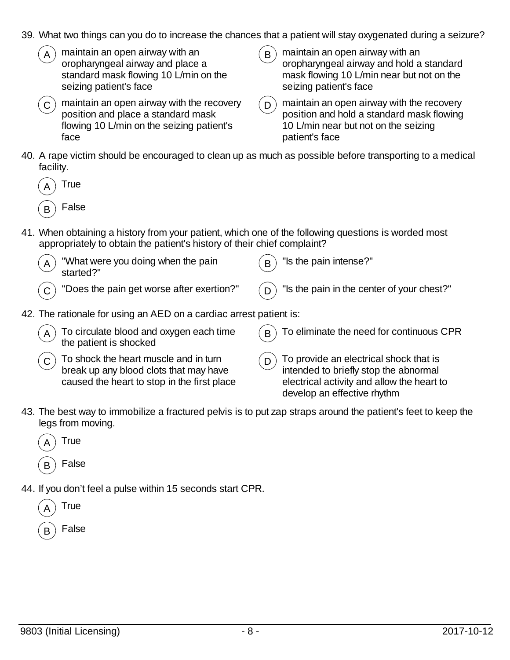- 39. What two things can you do to increase the chances that a patient will stay oxygenated during a seizure?
	- maintain an open airway with an oropharyngeal airway and place a standard mask flowing 10 L/min on the seizing patient's face
	- $\mathcal{L}_{\mathbf{C}}$  maintain an open airway with the recovery position and place a standard mask flowing 10 L/min on the seizing patient's face
- $\mathbf{B}$  maintain an open airway with an oropharyngeal airway and hold a standard mask flowing 10 L/min near but not on the seizing patient's face
- $\mathcal{L}_{\mathbf{D}}$  maintain an open airway with the recovery position and hold a standard mask flowing 10 L/min near but not on the seizing patient's face
- 40. A rape victim should be encouraged to clean up as much as possible before transporting to a medical facility.
	- **True** False
- 41. When obtaining a history from your patient, which one of the following questions is worded most appropriately to obtain the patient's history of their chief complaint?

| $\left(\begin{matrix} A \end{matrix}\right)$ "What were you doing when the pain started?" | $\mathcal{L}_{\mathbf{B}}$ "Is the pain intense?" |
|-------------------------------------------------------------------------------------------|---------------------------------------------------|
| $\mathcal{L}(\mathbf{C})$ "Does the pain get worse after exertion?"                       | $(D)$ "Is the pain in the center of your chest?"  |

- 42. The rationale for using an AED on a cardiac arrest patient is:
	- To circulate blood and oxygen each time the patient is shocked  $B$  To eliminate the need for continuous CPR
	- $\sigma$ ) To shock the heart muscle and in turn break up any blood clots that may have caused the heart to stop in the first place
- $(D)$  To provide an electrical shock that is intended to briefly stop the abnormal electrical activity and allow the heart to develop an effective rhythm
- 43. The best way to immobilize a fractured pelvis is to put zap straps around the patient's feet to keep the legs from moving.
	- **True** False
- 44. If you don't feel a pulse within 15 seconds start CPR.
	- True
	- False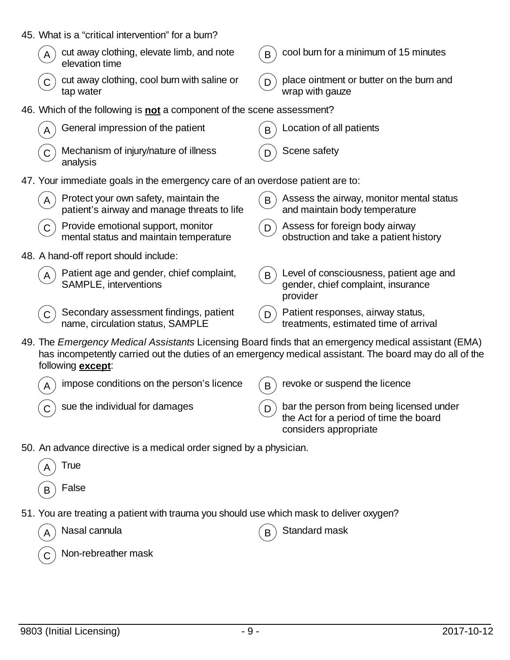| 45. What is a "critical intervention" for a burn?                                                                                 |                                                                                                             |
|-----------------------------------------------------------------------------------------------------------------------------------|-------------------------------------------------------------------------------------------------------------|
| cut away clothing, elevate limb, and note<br>elevation time                                                                       | cool burn for a minimum of 15 minutes<br>B                                                                  |
| cut away clothing, cool burn with saline or<br>tap water                                                                          | place ointment or butter on the burn and<br>wrap with gauze                                                 |
| 46. Which of the following is not a component of the scene assessment?                                                            |                                                                                                             |
| General impression of the patient                                                                                                 | Location of all patients<br>B                                                                               |
| Mechanism of injury/nature of illness<br>analysis                                                                                 | Scene safety                                                                                                |
| 47. Your immediate goals in the emergency care of an overdose patient are to:                                                     |                                                                                                             |
| Protect your own safety, maintain the<br>patient's airway and manage threats to life                                              | Assess the airway, monitor mental status<br>B<br>and maintain body temperature                              |
| Provide emotional support, monitor<br>mental status and maintain temperature                                                      | Assess for foreign body airway<br>D<br>obstruction and take a patient history                               |
| 48. A hand-off report should include:                                                                                             |                                                                                                             |
| Patient age and gender, chief complaint,<br>SAMPLE, interventions                                                                 | Level of consciousness, patient age and<br>B<br>gender, chief complaint, insurance<br>provider              |
| Secondary assessment findings, patient<br>name, circulation status, SAMPLE                                                        | Patient responses, airway status,<br>D<br>treatments, estimated time of arrival                             |
| 49. The Emergency Medical Assistants Licensing Board finds that an emergency medical assistant (EMA)<br>following <b>except</b> : | has incompetently carried out the duties of an emergency medical assistant. The board may do all of the     |
| impose conditions on the person's licence<br>A                                                                                    | revoke or suspend the licence<br>B                                                                          |
| sue the individual for damages                                                                                                    | bar the person from being licensed under<br>the Act for a period of time the board<br>considers appropriate |
| 50. An advance directive is a medical order signed by a physician.                                                                |                                                                                                             |
| True                                                                                                                              |                                                                                                             |
| False                                                                                                                             |                                                                                                             |
| 51. You are treating a patient with trauma you should use which mask to deliver oxygen?                                           |                                                                                                             |
| Nasal cannula                                                                                                                     | Standard mask                                                                                               |
| Non-rebreather mask                                                                                                               |                                                                                                             |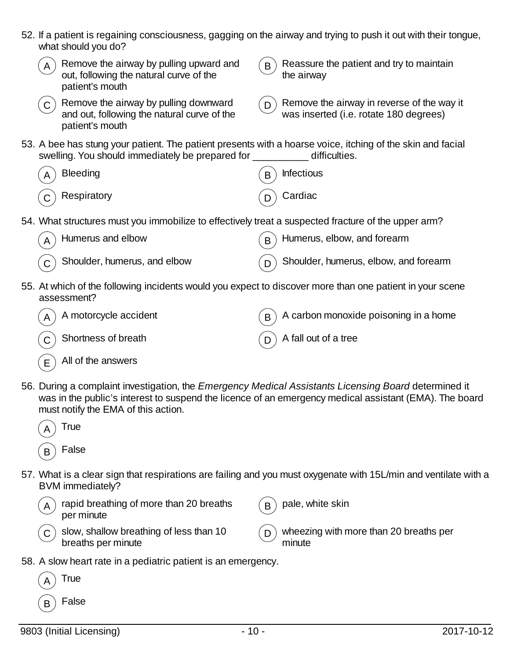|              | what should you do?                                                                                                                                                        |   | 52. If a patient is regaining consciousness, gagging on the airway and trying to push it out with their tongue, |
|--------------|----------------------------------------------------------------------------------------------------------------------------------------------------------------------------|---|-----------------------------------------------------------------------------------------------------------------|
| $\mathsf{A}$ | Remove the airway by pulling upward and<br>out, following the natural curve of the<br>patient's mouth                                                                      | B | Reassure the patient and try to maintain<br>the airway                                                          |
| $\mathsf{C}$ | Remove the airway by pulling downward<br>and out, following the natural curve of the<br>patient's mouth                                                                    | D | Remove the airway in reverse of the way it<br>was inserted (i.e. rotate 180 degrees)                            |
|              | 53. A bee has stung your patient. The patient presents with a hoarse voice, itching of the skin and facial<br>swelling. You should immediately be prepared for ___________ |   | difficulties.                                                                                                   |
|              | <b>Bleeding</b>                                                                                                                                                            | B | <b>Infectious</b>                                                                                               |
|              | Respiratory                                                                                                                                                                |   | Cardiac                                                                                                         |
|              | 54. What structures must you immobilize to effectively treat a suspected fracture of the upper arm?                                                                        |   |                                                                                                                 |
|              | Humerus and elbow                                                                                                                                                          |   | Humerus, elbow, and forearm                                                                                     |
|              | Shoulder, humerus, and elbow                                                                                                                                               | D | Shoulder, humerus, elbow, and forearm                                                                           |
|              | 55. At which of the following incidents would you expect to discover more than one patient in your scene<br>assessment?                                                    |   |                                                                                                                 |
|              | A motorcycle accident                                                                                                                                                      | B | A carbon monoxide poisoning in a home                                                                           |
|              | Shortness of breath                                                                                                                                                        | D | A fall out of a tree                                                                                            |
| Ε            | All of the answers                                                                                                                                                         |   |                                                                                                                 |
|              | 56. During a complaint investigation, the Emergency Medical Assistants Licensing Board determined it<br>must notify the EMA of this action.                                |   | was in the public's interest to suspend the licence of an emergency medical assistant (EMA). The board          |
|              | True                                                                                                                                                                       |   |                                                                                                                 |
| B            | False                                                                                                                                                                      |   |                                                                                                                 |
|              | BVM immediately?                                                                                                                                                           |   | 57. What is a clear sign that respirations are failing and you must oxygenate with 15L/min and ventilate with a |
|              | rapid breathing of more than 20 breaths<br>per minute                                                                                                                      | B | pale, white skin                                                                                                |
| C            | slow, shallow breathing of less than 10<br>breaths per minute                                                                                                              | D | wheezing with more than 20 breaths per<br>minute                                                                |
|              | 58. A slow heart rate in a pediatric patient is an emergency.                                                                                                              |   |                                                                                                                 |
|              | True                                                                                                                                                                       |   |                                                                                                                 |
| B            | False                                                                                                                                                                      |   |                                                                                                                 |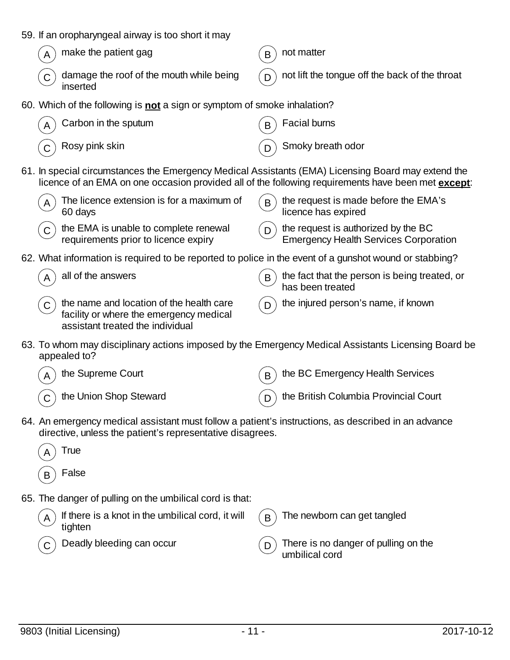|  |  |  |  |  |  | 59. If an oropharyngeal airway is too short it may |
|--|--|--|--|--|--|----------------------------------------------------|
|--|--|--|--|--|--|----------------------------------------------------|

| $\binom{1}{A}$ make the patient gag |
|-------------------------------------|
|                                     |



 $\mathsf{B}$  not matter

- $(D)$  not lift the tongue off the back of the throat
- 60. Which of the following is **not** a sign or symptom of smoke inhalation?

| $\binom{1}{A}$ Carbon in the sputum                              | $\binom{1}{B}$ Facial burns      |
|------------------------------------------------------------------|----------------------------------|
| $\left(\begin{matrix} 1 \\ 0 \end{matrix}\right)$ Rosy pink skin | $\binom{1}{D}$ Smoky breath odor |

61. In special circumstances the Emergency Medical Assistants (EMA) Licensing Board may extend the licence of an EMA on one occasion provided all of the following requirements have been met **except**:

| $(A)$ The licence extension is for a maximum of<br>60 days                                              | $(B)$ the request is made before the EMA's<br>licence has expired                                  |
|---------------------------------------------------------------------------------------------------------|----------------------------------------------------------------------------------------------------|
| $\mathcal{L}(\mathbf{C})$ the EMA is unable to complete renewal<br>requirements prior to licence expiry | $\binom{1}{D}$ the request is authorized by the BC<br><b>Emergency Health Services Corporation</b> |

62. What information is required to be reported to police in the event of a gunshot wound or stabbing?

| $($ A $)$ all of the answers                                                                                                          | the fact that the person is being treated, or<br>has been treated |
|---------------------------------------------------------------------------------------------------------------------------------------|-------------------------------------------------------------------|
| $\circled{c}$ the name and location of the health care<br>facility or where the emergency medical<br>assistant treated the individual | $(p)$ the injured person's name, if known                         |

63. To whom may disciplinary actions imposed by the Emergency Medical Assistants Licensing Board be appealed to?



- 64. An emergency medical assistant must follow a patient's instructions, as described in an advance directive, unless the patient's representative disagrees.
	- **True False**
- 65. The danger of pulling on the umbilical cord is that:

| $\widehat{A}$ If there is a knot in the umbilical cord, it will<br>tighten | $\left( \, {\sf B} \, \right)$ The newborn can get tangled   |
|----------------------------------------------------------------------------|--------------------------------------------------------------|
| $\mathsf{C}^{\setminus}$ Deadly bleeding can occur                         | $(p)$ There is no danger of pulling on the<br>umbilical cord |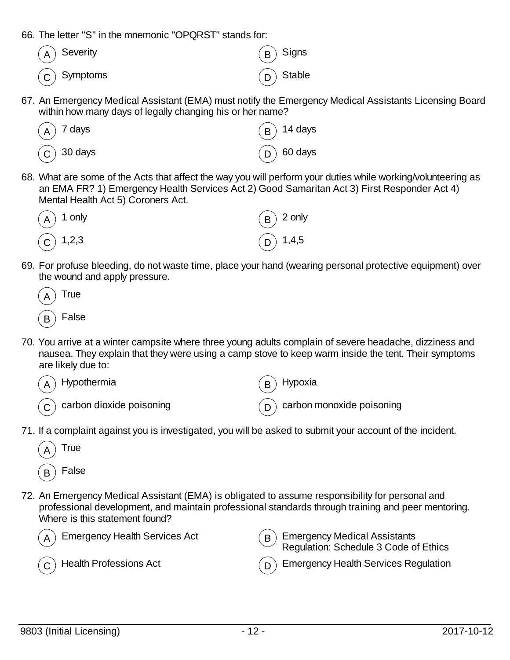66. The letter "S" in the mnemonic "OPQRST" stands for:

| $(A)$ Severity                                      | $\binom{1}{B}$ Signs                              |
|-----------------------------------------------------|---------------------------------------------------|
| $\left(\begin{matrix}C\end{matrix}\right)$ Symptoms | $\left(\begin{matrix}D\end{matrix}\right)$ Stable |

67. An Emergency Medical Assistant (EMA) must notify the Emergency Medical Assistants Licensing Board within how many days of legally changing his or her name?



68. What are some of the Acts that affect the way you will perform your duties while working/volunteering as an EMA FR? 1) Emergency Health Services Act 2) Good Samaritan Act 3) First Responder Act 4) Mental Health Act 5) Coroners Act.



69. For profuse bleeding, do not waste time, place your hand (wearing personal protective equipment) over the wound and apply pressure.



70. You arrive at a winter campsite where three young adults complain of severe headache, dizziness and nausea. They explain that they were using a camp stove to keep warm inside the tent. Their symptoms are likely due to:



71. If a complaint against you is investigated, you will be asked to submit your account of the incident.



72. An Emergency Medical Assistant (EMA) is obligated to assume responsibility for personal and professional development, and maintain professional standards through training and peer mentoring. Where is this statement found?